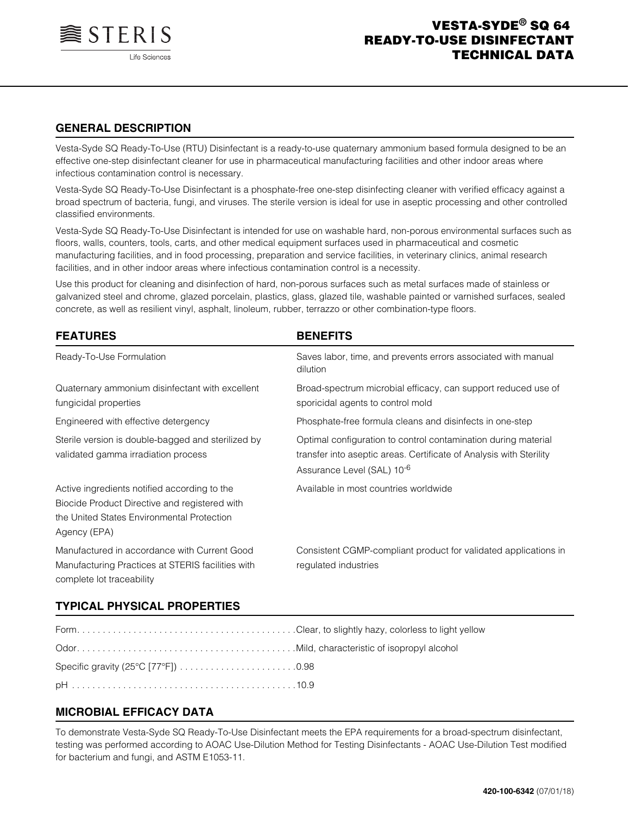

# **GENERAL DESCRIPTION**

Vesta-Syde SQ Ready-To-Use (RTU) Disinfectant is a ready-to-use quaternary ammonium based formula designed to be an effective one-step disinfectant cleaner for use in pharmaceutical manufacturing facilities and other indoor areas where infectious contamination control is necessary.

Vesta-Syde SQ Ready-To-Use Disinfectant is a phosphate-free one-step disinfecting cleaner with verified efficacy against a broad spectrum of bacteria, fungi, and viruses. The sterile version is ideal for use in aseptic processing and other controlled classified environments.

Vesta-Syde SQ Ready-To-Use Disinfectant is intended for use on washable hard, non-porous environmental surfaces such as floors, walls, counters, tools, carts, and other medical equipment surfaces used in pharmaceutical and cosmetic manufacturing facilities, and in food processing, preparation and service facilities, in veterinary clinics, animal research facilities, and in other indoor areas where infectious contamination control is a necessity.

Use this product for cleaning and disinfection of hard, non-porous surfaces such as metal surfaces made of stainless or galvanized steel and chrome, glazed porcelain, plastics, glass, glazed tile, washable painted or varnished surfaces, sealed concrete, as well as resilient vinyl, asphalt, linoleum, rubber, terrazzo or other combination-type floors.

| <b>FEATURES</b>                                                                                                                                             | <b>BENEFITS</b>                                                                                                                                                                 |
|-------------------------------------------------------------------------------------------------------------------------------------------------------------|---------------------------------------------------------------------------------------------------------------------------------------------------------------------------------|
| Ready-To-Use Formulation                                                                                                                                    | Saves labor, time, and prevents errors associated with manual<br>dilution                                                                                                       |
| Quaternary ammonium disinfectant with excellent<br>fungicidal properties                                                                                    | Broad-spectrum microbial efficacy, can support reduced use of<br>sporicidal agents to control mold                                                                              |
| Engineered with effective detergency                                                                                                                        | Phosphate-free formula cleans and disinfects in one-step                                                                                                                        |
| Sterile version is double-bagged and sterilized by<br>validated gamma irradiation process                                                                   | Optimal configuration to control contamination during material<br>transfer into aseptic areas. Certificate of Analysis with Sterility<br>Assurance Level (SAL) 10 <sup>-6</sup> |
| Active ingredients notified according to the<br>Biocide Product Directive and registered with<br>the United States Environmental Protection<br>Agency (EPA) | Available in most countries worldwide                                                                                                                                           |
| Manufactured in accordance with Current Good<br>Manufacturing Practices at STERIS facilities with<br>complete lot traceability                              | Consistent CGMP-compliant product for validated applications in<br>regulated industries                                                                                         |

## **TYPICAL PHYSICAL PROPERTIES**

# **MICROBIAL EFFICACY DATA**

To demonstrate Vesta-Syde SQ Ready-To-Use Disinfectant meets the EPA requirements for a broad-spectrum disinfectant, testing was performed according to AOAC Use-Dilution Method for Testing Disinfectants - AOAC Use-Dilution Test modified for bacterium and fungi, and ASTM E1053-11.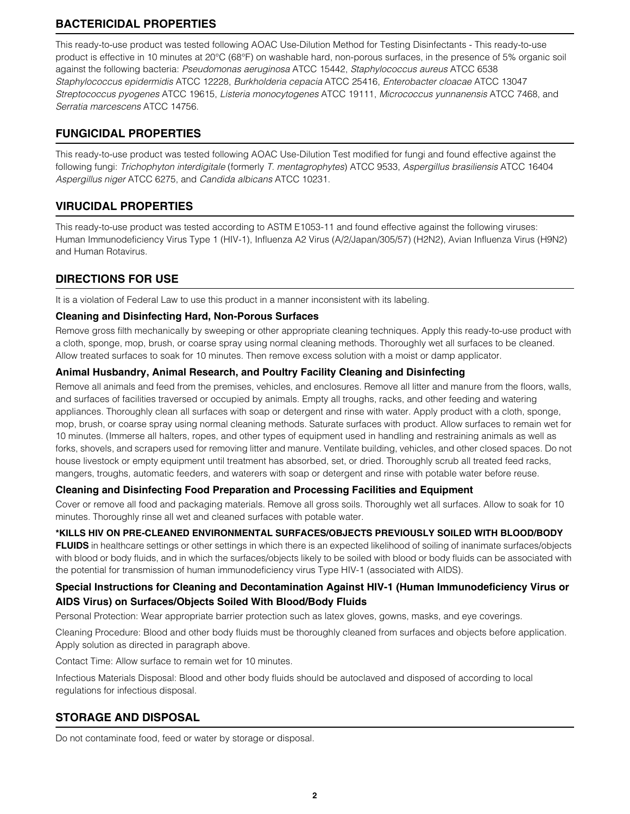# **BACTERICIDAL PROPERTIES**

This ready-to-use product was tested following AOAC Use-Dilution Method for Testing Disinfectants - This ready-to-use product is effective in 10 minutes at 20°C (68°F) on washable hard, non-porous surfaces, in the presence of 5% organic soil against the following bacteria: *Pseudomonas aeruginosa* ATCC 15442, *Staphylococcus aureus* ATCC 6538 *Staphylococcus epidermidis* ATCC 12228, *Burkholderia cepacia* ATCC 25416, *Enterobacter cloacae* ATCC 13047 *Streptococcus pyogenes* ATCC 19615, *Listeria monocytogenes* ATCC 19111, *Micrococcus yunnanensis* ATCC 7468, and *Serratia marcescens* ATCC 14756.

# **FUNGICIDAL PROPERTIES**

This ready-to-use product was tested following AOAC Use-Dilution Test modified for fungi and found effective against the following fungi: *Trichophyton interdigitale* (formerly *T. mentagrophytes*) ATCC 9533, *Aspergillus brasiliensis* ATCC 16404 *Aspergillus niger* ATCC 6275, and *Candida albicans* ATCC 10231.

# **VIRUCIDAL PROPERTIES**

This ready-to-use product was tested according to ASTM E1053-11 and found effective against the following viruses: Human Immunodeficiency Virus Type 1 (HIV-1), Influenza A2 Virus (A/2/Japan/305/57) (H2N2), Avian Influenza Virus (H9N2) and Human Rotavirus.

# **DIRECTIONS FOR USE**

It is a violation of Federal Law to use this product in a manner inconsistent with its labeling.

### **Cleaning and Disinfecting Hard, Non-Porous Surfaces**

Remove gross filth mechanically by sweeping or other appropriate cleaning techniques. Apply this ready-to-use product with a cloth, sponge, mop, brush, or coarse spray using normal cleaning methods. Thoroughly wet all surfaces to be cleaned. Allow treated surfaces to soak for 10 minutes. Then remove excess solution with a moist or damp applicator.

## **Animal Husbandry, Animal Research, and Poultry Facility Cleaning and Disinfecting**

Remove all animals and feed from the premises, vehicles, and enclosures. Remove all litter and manure from the floors, walls, and surfaces of facilities traversed or occupied by animals. Empty all troughs, racks, and other feeding and watering appliances. Thoroughly clean all surfaces with soap or detergent and rinse with water. Apply product with a cloth, sponge, mop, brush, or coarse spray using normal cleaning methods. Saturate surfaces with product. Allow surfaces to remain wet for 10 minutes. (Immerse all halters, ropes, and other types of equipment used in handling and restraining animals as well as forks, shovels, and scrapers used for removing litter and manure. Ventilate building, vehicles, and other closed spaces. Do not house livestock or empty equipment until treatment has absorbed, set, or dried. Thoroughly scrub all treated feed racks, mangers, troughs, automatic feeders, and waterers with soap or detergent and rinse with potable water before reuse.

## **Cleaning and Disinfecting Food Preparation and Processing Facilities and Equipment**

Cover or remove all food and packaging materials. Remove all gross soils. Thoroughly wet all surfaces. Allow to soak for 10 minutes. Thoroughly rinse all wet and cleaned surfaces with potable water.

## **\*KILLS HIV ON PRE-CLEANED ENVIRONMENTAL SURFACES/OBJECTS PREVIOUSLY SOILED WITH BLOOD/BODY**

**FLUIDS** in healthcare settings or other settings in which there is an expected likelihood of soiling of inanimate surfaces/objects with blood or body fluids, and in which the surfaces/objects likely to be soiled with blood or body fluids can be associated with the potential for transmission of human immunodeficiency virus Type HIV-1 (associated with AIDS).

# **Special Instructions for Cleaning and Decontamination Against HIV-1 (Human Immunodeficiency Virus or AIDS Virus) on Surfaces/Objects Soiled With Blood/Body Fluids**

Personal Protection: Wear appropriate barrier protection such as latex gloves, gowns, masks, and eye coverings.

Cleaning Procedure: Blood and other body fluids must be thoroughly cleaned from surfaces and objects before application. Apply solution as directed in paragraph above.

Contact Time: Allow surface to remain wet for 10 minutes.

Infectious Materials Disposal: Blood and other body fluids should be autoclaved and disposed of according to local regulations for infectious disposal.

# **STORAGE AND DISPOSAL**

Do not contaminate food, feed or water by storage or disposal.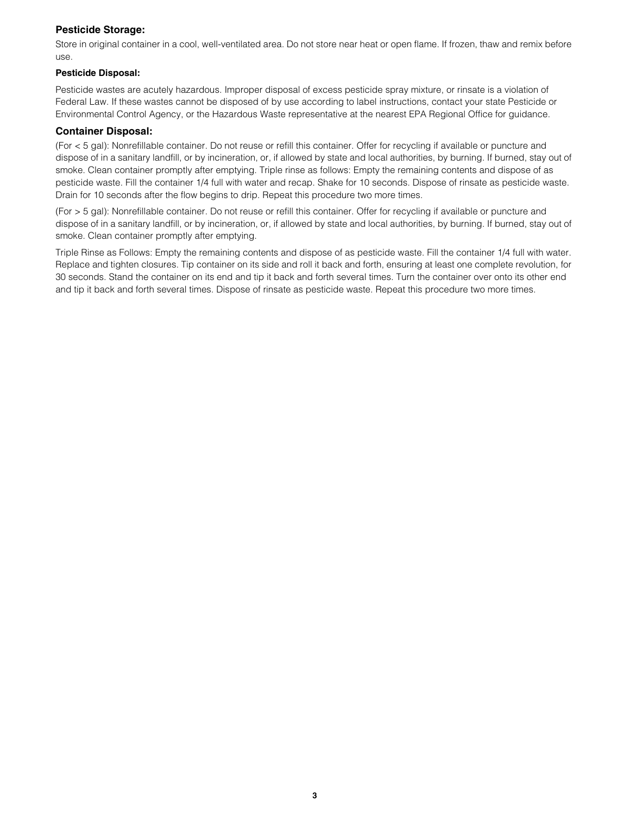### **Pesticide Storage:**

Store in original container in a cool, well-ventilated area. Do not store near heat or open flame. If frozen, thaw and remix before use.

### **Pesticide Disposal:**

Pesticide wastes are acutely hazardous. Improper disposal of excess pesticide spray mixture, or rinsate is a violation of Federal Law. If these wastes cannot be disposed of by use according to label instructions, contact your state Pesticide or Environmental Control Agency, or the Hazardous Waste representative at the nearest EPA Regional Office for guidance.

### **Container Disposal:**

(For < 5 gal): Nonrefillable container. Do not reuse or refill this container. Offer for recycling if available or puncture and dispose of in a sanitary landfill, or by incineration, or, if allowed by state and local authorities, by burning. If burned, stay out of smoke. Clean container promptly after emptying. Triple rinse as follows: Empty the remaining contents and dispose of as pesticide waste. Fill the container 1/4 full with water and recap. Shake for 10 seconds. Dispose of rinsate as pesticide waste. Drain for 10 seconds after the flow begins to drip. Repeat this procedure two more times.

(For > 5 gal): Nonrefillable container. Do not reuse or refill this container. Offer for recycling if available or puncture and dispose of in a sanitary landfill, or by incineration, or, if allowed by state and local authorities, by burning. If burned, stay out of smoke. Clean container promptly after emptying.

Triple Rinse as Follows: Empty the remaining contents and dispose of as pesticide waste. Fill the container 1/4 full with water. Replace and tighten closures. Tip container on its side and roll it back and forth, ensuring at least one complete revolution, for 30 seconds. Stand the container on its end and tip it back and forth several times. Turn the container over onto its other end and tip it back and forth several times. Dispose of rinsate as pesticide waste. Repeat this procedure two more times.